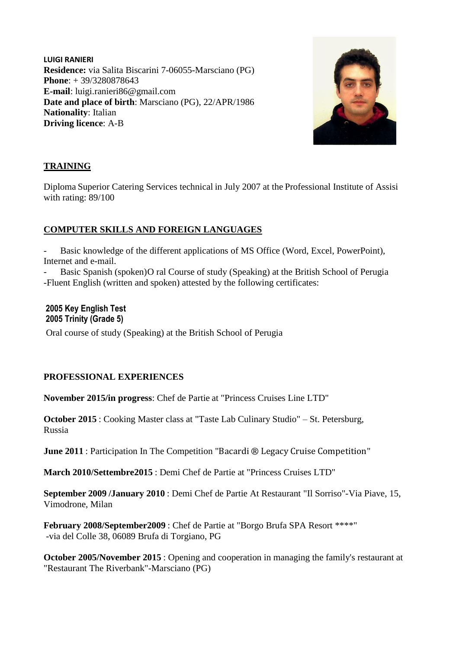**LUIGI RANIERI Residence:** via Salita Biscarini 7-06055-Marsciano (PG) **Phone**: + 39/3280878643 **E-mail**: luigi.ranieri86@gmail.com **Date and place of birth**: Marsciano (PG), 22/APR/1986 **Nationality**: Italian **Driving licence**: A-B



# **TRAINING**

Diploma Superior Catering Services technical in July 2007 at the Professional Institute of Assisi with rating: 89/100

# **COMPUTER SKILLS AND FOREIGN LANGUAGES**

Basic knowledge of the different applications of MS Office (Word, Excel, PowerPoint), Internet and e-mail.

Basic Spanish (spoken)O ral Course of study (Speaking) at the British School of Perugia -Fluent English (written and spoken) attested by the following certificates:

### **2005 Key English Test 2005 Trinity (Grade 5)**

Oral course of study (Speaking) at the British School of Perugia

# **PROFESSIONAL EXPERIENCES**

**November 2015/in progress**: Chef de Partie at "Princess Cruises Line LTD"

**October 2015** : Cooking Master class at "Taste Lab Culinary Studio" – St. Petersburg, Russia

**June 2011** : Participation In The Competition "[Bacardi ® Legacy Cruise Competition](https://ssl.translatoruser.net/bv.aspx?from=it&to=en&a=http%3A%2F%2Fwww.bacardicruisecompetition.com%2F)"

**March 2010/Settembre2015** : Demi Chef de Partie at "Princess Cruises LTD"

**September 2009 /January 2010** : Demi Chef de Partie At Restaurant "Il Sorriso"-Via Piave, 15, Vimodrone, Milan

**February 2008/September2009** : Chef de Partie at "Borgo Brufa SPA Resort \*\*\*\*" -via del Colle 38, 06089 Brufa di Torgiano, PG

**October 2005/November 2015** : Opening and cooperation in managing the family's restaurant at "Restaurant The Riverbank"-Marsciano (PG)